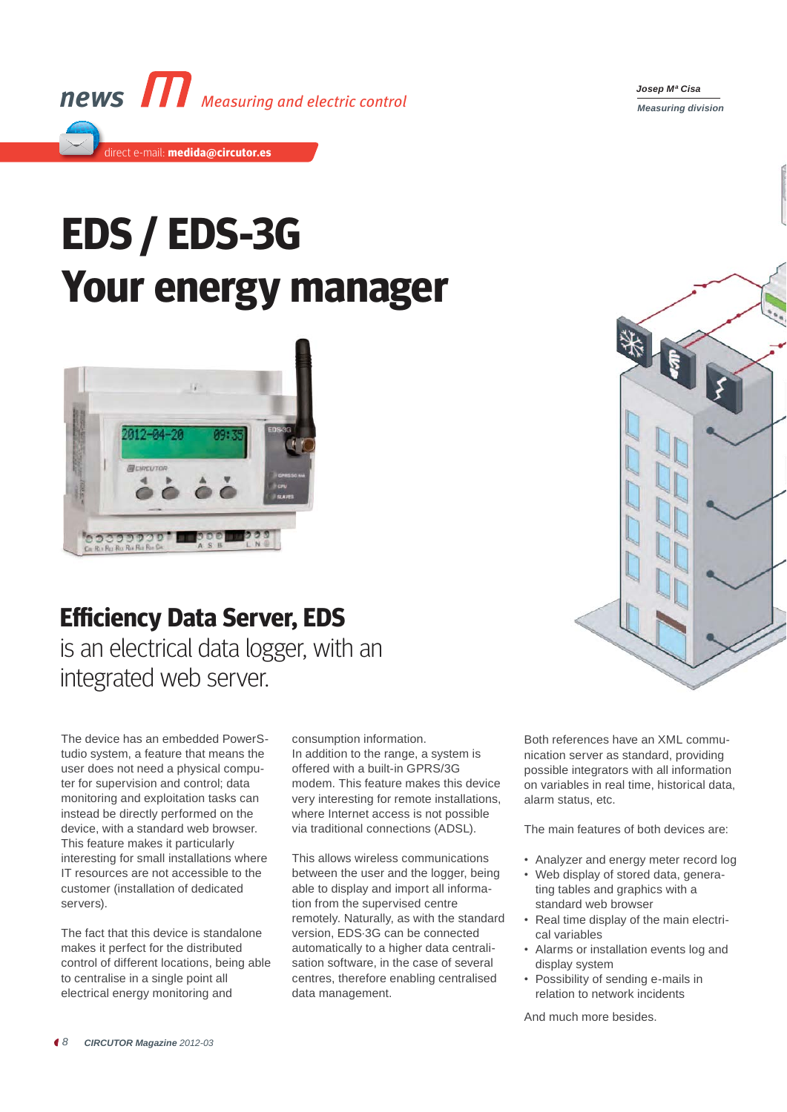

## **EDS / EDS-3G Your energy manager**



## **Efficiency Data Server, EDS**

is an electrical data logger, with an integrated web server.

The device has an embedded PowerStudio system, a feature that means the user does not need a physical computer for supervision and control; data monitoring and exploitation tasks can instead be directly performed on the device, with a standard web browser. This feature makes it particularly interesting for small installations where IT resources are not accessible to the customer (installation of dedicated servers).

The fact that this device is standalone makes it perfect for the distributed control of different locations, being able to centralise in a single point all electrical energy monitoring and

consumption information. In addition to the range, a system is offered with a built-in GPRS/3G modem. This feature makes this device very interesting for remote installations, where Internet access is not possible via traditional connections (ADSL).

This allows wireless communications between the user and the logger, being able to display and import all information from the supervised centre remotely. Naturally, as with the standard version, EDS·3G can be connected automatically to a higher data centralisation software, in the case of several centres, therefore enabling centralised data management.

Both references have an XML communication server as standard, providing possible integrators with all information on variables in real time, historical data, alarm status, etc.

The main features of both devices are:

- Analyzer and energy meter record log
- Web display of stored data, generating tables and graphics with a standard web browser
- Real time display of the main electrical variables
- Alarms or installation events log and display system
- Possibility of sending e-mails in relation to network incidents

And much more besides.



*Josep Mª Cisa Measuring division Measuring division*